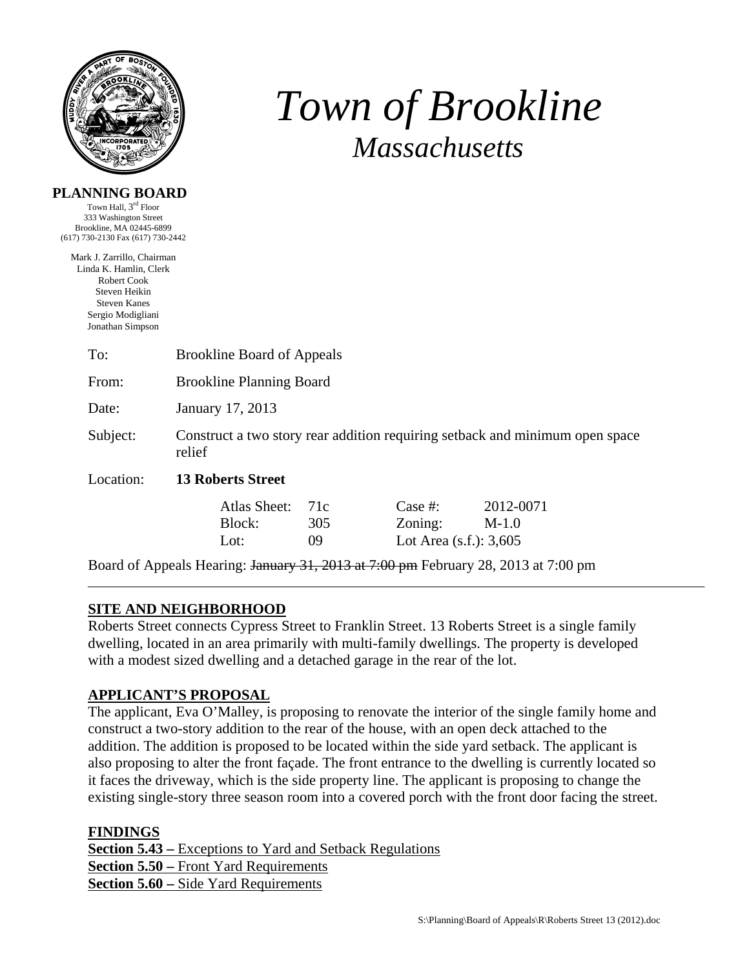

**PLANNING BOARD**  Town Hall, 3<sup>rd</sup> Floor

# *Town of Brookline Massachusetts*

| 333 Washington Street                |                                                                                        |     |            |                                                                                    |  |  |  |
|--------------------------------------|----------------------------------------------------------------------------------------|-----|------------|------------------------------------------------------------------------------------|--|--|--|
| Brookline, MA 02445-6899             |                                                                                        |     |            |                                                                                    |  |  |  |
| (617) 730-2130 Fax (617) 730-2442    |                                                                                        |     |            |                                                                                    |  |  |  |
| Mark J. Zarrillo, Chairman           |                                                                                        |     |            |                                                                                    |  |  |  |
| Linda K. Hamlin, Clerk               |                                                                                        |     |            |                                                                                    |  |  |  |
| <b>Robert Cook</b>                   |                                                                                        |     |            |                                                                                    |  |  |  |
| Steven Heikin<br><b>Steven Kanes</b> |                                                                                        |     |            |                                                                                    |  |  |  |
| Sergio Modigliani                    |                                                                                        |     |            |                                                                                    |  |  |  |
| Jonathan Simpson                     |                                                                                        |     |            |                                                                                    |  |  |  |
|                                      |                                                                                        |     |            |                                                                                    |  |  |  |
| To:                                  | <b>Brookline Board of Appeals</b>                                                      |     |            |                                                                                    |  |  |  |
| From:                                | <b>Brookline Planning Board</b>                                                        |     |            |                                                                                    |  |  |  |
| Date:                                | January 17, 2013                                                                       |     |            |                                                                                    |  |  |  |
| Subject:                             | Construct a two story rear addition requiring setback and minimum open space<br>relief |     |            |                                                                                    |  |  |  |
| Location:                            | <b>13 Roberts Street</b>                                                               |     |            |                                                                                    |  |  |  |
|                                      | Atlas Sheet:                                                                           | 71c | Case $#$ : | 2012-0071                                                                          |  |  |  |
|                                      | Block:                                                                                 | 305 | Zoning:    | $M-1.0$                                                                            |  |  |  |
|                                      | Lot:                                                                                   | 09  |            |                                                                                    |  |  |  |
|                                      |                                                                                        |     |            | Lot Area $(s.f.)$ : 3,605                                                          |  |  |  |
|                                      |                                                                                        |     |            | Board of Appeals Hearing: January 31, 2013 at 7:00 pm February 28, 2013 at 7:00 pm |  |  |  |

## **SITE AND NEIGHBORHOOD**

Roberts Street connects Cypress Street to Franklin Street. 13 Roberts Street is a single family dwelling, located in an area primarily with multi-family dwellings. The property is developed with a modest sized dwelling and a detached garage in the rear of the lot.

## **APPLICANT'S PROPOSAL**

The applicant, Eva O'Malley, is proposing to renovate the interior of the single family home and construct a two-story addition to the rear of the house, with an open deck attached to the addition. The addition is proposed to be located within the side yard setback. The applicant is also proposing to alter the front façade. The front entrance to the dwelling is currently located so it faces the driveway, which is the side property line. The applicant is proposing to change the existing single-story three season room into a covered porch with the front door facing the street.

## **FINDINGS**

**Section 5.43 –** Exceptions to Yard and Setback Regulations **Section 5.50 –** Front Yard Requirements **Section 5.60 –** Side Yard Requirements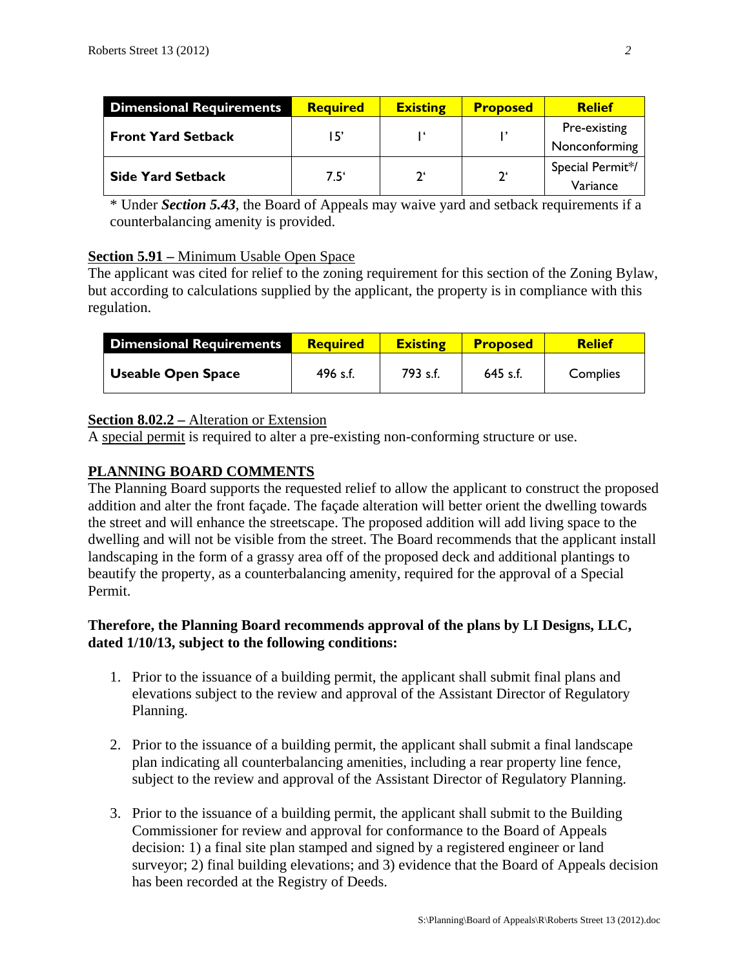| <b>Dimensional Requirements</b> | <b>Required</b> | <b>Existing</b> | <b>Proposed</b> | <b>Relief</b>                 |
|---------------------------------|-----------------|-----------------|-----------------|-------------------------------|
| <b>Front Yard Setback</b>       | 15'             |                 |                 | Pre-existing<br>Nonconforming |
| <b>Side Yard Setback</b>        | $7.5^{\circ}$   | າ'              | $2^{\epsilon}$  | Special Permit*/<br>Variance  |

\* Under *Section 5.43*, the Board of Appeals may waive yard and setback requirements if a counterbalancing amenity is provided.

## **Section 5.91 –** Minimum Usable Open Space

The applicant was cited for relief to the zoning requirement for this section of the Zoning Bylaw, but according to calculations supplied by the applicant, the property is in compliance with this regulation.

| Dimensional Requirements  | <b>Required</b> | <b>Existing</b> | <b>Proposed</b> | <b>Relief</b> |
|---------------------------|-----------------|-----------------|-----------------|---------------|
| <b>Useable Open Space</b> | 496 s.f.        | 793 s.f.        | $645$ s.f.      | Complies      |

## **Section 8.02.2 –** Alteration or Extension

A special permit is required to alter a pre-existing non-conforming structure or use.

## **PLANNING BOARD COMMENTS**

The Planning Board supports the requested relief to allow the applicant to construct the proposed addition and alter the front façade. The façade alteration will better orient the dwelling towards the street and will enhance the streetscape. The proposed addition will add living space to the dwelling and will not be visible from the street. The Board recommends that the applicant install landscaping in the form of a grassy area off of the proposed deck and additional plantings to beautify the property, as a counterbalancing amenity, required for the approval of a Special Permit.

### **Therefore, the Planning Board recommends approval of the plans by LI Designs, LLC, dated 1/10/13, subject to the following conditions:**

- 1. Prior to the issuance of a building permit, the applicant shall submit final plans and elevations subject to the review and approval of the Assistant Director of Regulatory Planning.
- 2. Prior to the issuance of a building permit, the applicant shall submit a final landscape plan indicating all counterbalancing amenities, including a rear property line fence, subject to the review and approval of the Assistant Director of Regulatory Planning.
- 3. Prior to the issuance of a building permit, the applicant shall submit to the Building Commissioner for review and approval for conformance to the Board of Appeals decision: 1) a final site plan stamped and signed by a registered engineer or land surveyor; 2) final building elevations; and 3) evidence that the Board of Appeals decision has been recorded at the Registry of Deeds.